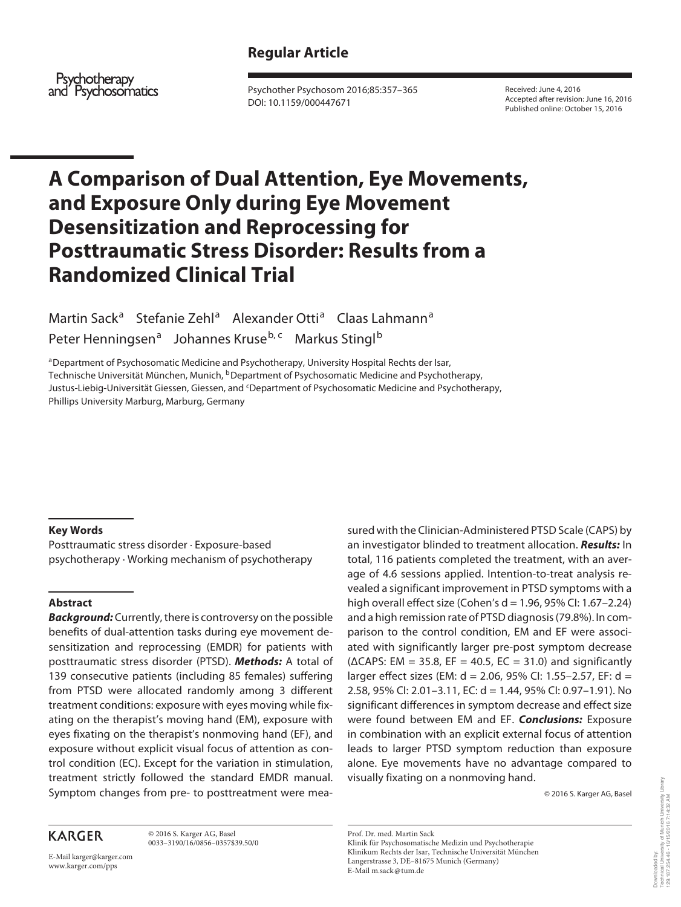## **Regular Article**

Psychotherapy and Psychosomatics

 Psychother Psychosom 2016;85:357–365 DOI: 10.1159/000447671

 Received: June 4, 2016 Accepted after revision: June 16, 2016 Published online: October 15, 2016

# **A Comparison of Dual Attention, Eye Movements, and Exposure Only during Eye Movement Desensitization and Reprocessing for Posttraumatic Stress Disorder: Results from a Randomized Clinical Trial**

Martin Sack<sup>a</sup> Stefanie Zehl<sup>a</sup> Alexander Otti<sup>a</sup> Claas Lahmann<sup>a</sup> Peter Henningsen<sup>a</sup> Johannes Kruse<sup>b, c</sup> Markus Stingl<sup>b</sup>

a Department of Psychosomatic Medicine and Psychotherapy, University Hospital Rechts der Isar, Technische Universität München, Munich, <sup>b</sup> Department of Psychosomatic Medicine and Psychotherapy, Justus-Liebig-Universität Giessen, Giessen, and <sup>c</sup>Department of Psychosomatic Medicine and Psychotherapy, Phillips University Marburg, Marburg, Germany

## **Key Words**

 Posttraumatic stress disorder · Exposure-based psychotherapy · Working mechanism of psychotherapy

### **Abstract**

**Background:** Currently, there is controversy on the possible benefits of dual-attention tasks during eye movement desensitization and reprocessing (EMDR) for patients with posttraumatic stress disorder (PTSD). **Methods:** A total of 139 consecutive patients (including 85 females) suffering from PTSD were allocated randomly among 3 different treatment conditions: exposure with eyes moving while fixating on the therapist's moving hand (EM), exposure with eyes fixating on the therapist's nonmoving hand (EF), and exposure without explicit visual focus of attention as control condition (EC). Except for the variation in stimulation, treatment strictly followed the standard EMDR manual. Symptom changes from pre- to posttreatment were mea-

**KARGER** 

 © 2016 S. Karger AG, Basel 0033–3190/16/0856–0357\$39.50/0

E-Mail karger@karger.com www.karger.com/pps

sured with the Clinician-Administered PTSD Scale (CAPS) by an investigator blinded to treatment allocation. **Results:** In total, 116 patients completed the treatment, with an average of 4.6 sessions applied. Intention-to-treat analysis revealed a significant improvement in PTSD symptoms with a high overall effect size (Cohen's d = 1.96, 95% CI: 1.67–2.24) and a high remission rate of PTSD diagnosis (79.8%). In comparison to the control condition, EM and EF were associated with significantly larger pre-post symptom decrease  $(\Delta$ CAPS: EM = 35.8, EF = 40.5, EC = 31.0) and significantly larger effect sizes (EM: d = 2.06, 95% CI: 1.55–2.57, EF: d = 2.58, 95% CI: 2.01–3.11, EC: d = 1.44, 95% CI: 0.97–1.91). No significant differences in symptom decrease and effect size were found between EM and EF. **Conclusions:** Exposure in combination with an explicit external focus of attention leads to larger PTSD symptom reduction than exposure alone. Eye movements have no advantage compared to visually fixating on a nonmoving hand.

© 2016 S. Karger AG, Basel

 Prof. Dr. med. Martin Sack Klinik für Psychosomatische Medizin und Psychotherapie Klinikum Rechts der Isar, Technische Universität München Langerstrasse 3, DE–81675 Munich (Germany) E-Mail m.sack @ tum.de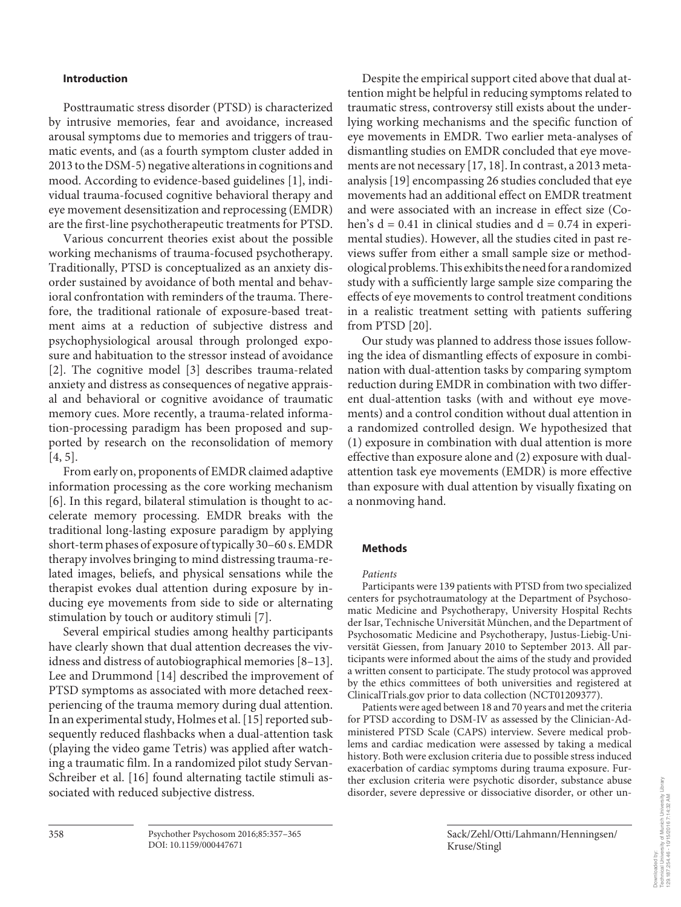## **Introduction**

 Posttraumatic stress disorder (PTSD) is characterized by intrusive memories, fear and avoidance, increased arousal symptoms due to memories and triggers of traumatic events, and (as a fourth symptom cluster added in 2013 to the DSM-5) negative alterations in cognitions and mood. According to evidence-based guidelines [1], individual trauma-focused cognitive behavioral therapy and eye movement desensitization and reprocessing (EMDR) are the first-line psychotherapeutic treatments for PTSD.

 Various concurrent theories exist about the possible working mechanisms of trauma-focused psychotherapy. Traditionally, PTSD is conceptualized as an anxiety disorder sustained by avoidance of both mental and behavioral confrontation with reminders of the trauma. Therefore, the traditional rationale of exposure-based treatment aims at a reduction of subjective distress and psychophysiological arousal through prolonged exposure and habituation to the stressor instead of avoidance [2]. The cognitive model [3] describes trauma-related anxiety and distress as consequences of negative appraisal and behavioral or cognitive avoidance of traumatic memory cues. More recently, a trauma-related information-processing paradigm has been proposed and supported by research on the reconsolidation of memory  $[4, 5]$ .

 From early on, proponents of EMDR claimed adaptive information processing as the core working mechanism [6]. In this regard, bilateral stimulation is thought to accelerate memory processing. EMDR breaks with the traditional long-lasting exposure paradigm by applying short-term phases of exposure of typically 30–60 s. EMDR therapy involves bringing to mind distressing trauma-related images, beliefs, and physical sensations while the therapist evokes dual attention during exposure by inducing eye movements from side to side or alternating stimulation by touch or auditory stimuli [7] .

 Several empirical studies among healthy participants have clearly shown that dual attention decreases the vividness and distress of autobiographical memories [8–13] . Lee and Drummond [14] described the improvement of PTSD symptoms as associated with more detached reexperiencing of the trauma memory during dual attention. In an experimental study, Holmes et al. [15] reported subsequently reduced flashbacks when a dual-attention task (playing the video game Tetris) was applied after watching a traumatic film. In a randomized pilot study Servan-Schreiber et al. [16] found alternating tactile stimuli associated with reduced subjective distress .

 Despite the empirical support cited above that dual attention might be helpful in reducing symptoms related to traumatic stress, controversy still exists about the underlying working mechanisms and the specific function of eye movements in EMDR. Two earlier meta-analyses of dismantling studies on EMDR concluded that eye movements are not necessary [17, 18] . In contrast, a 2013 metaanalysis [19] encompassing 26 studies concluded that eye movements had an additional effect on EMDR treatment and were associated with an increase in effect size (Cohen's  $d = 0.41$  in clinical studies and  $d = 0.74$  in experimental studies). However, all the studies cited in past reviews suffer from either a small sample size or methodological problems. This exhibits the need for a randomized study with a sufficiently large sample size comparing the effects of eye movements to control treatment conditions in a realistic treatment setting with patients suffering from PTSD [20].

 Our study was planned to address those issues following the idea of dismantling effects of exposure in combination with dual-attention tasks by comparing symptom reduction during EMDR in combination with two different dual-attention tasks (with and without eye movements) and a control condition without dual attention in a randomized controlled design. We hypothesized that (1) exposure in combination with dual attention is more effective than exposure alone and (2) exposure with dualattention task eye movements (EMDR) is more effective than exposure with dual attention by visually fixating on a nonmoving hand.

## **Methods**

#### Patients

 Participants were 139 patients with PTSD from two specialized centers for psychotraumatology at the Department of Psychosomatic Medicine and Psychotherapy, University Hospital Rechts der Isar, Technische Universität München, and the Department of Psychosomatic Medicine and Psychotherapy, Justus-Liebig-Universität Giessen, from January 2010 to September 2013. All participants were informed about the aims of the study and provided a written consent to participate. The study protocol was approved by the ethics committees of both universities and registered at ClinicalTrials.gov prior to data collection (NCT01209377).

 Patients were aged between 18 and 70 years and met the criteria for PTSD according to DSM-IV as assessed by the Clinician-Administered PTSD Scale (CAPS) interview. Severe medical problems and cardiac medication were assessed by taking a medical history. Both were exclusion criteria due to possible stress induced exacerbation of cardiac symptoms during trauma exposure. Further exclusion criteria were psychotic disorder, substance abuse disorder, severe depressive or dissociative disorder, or other un-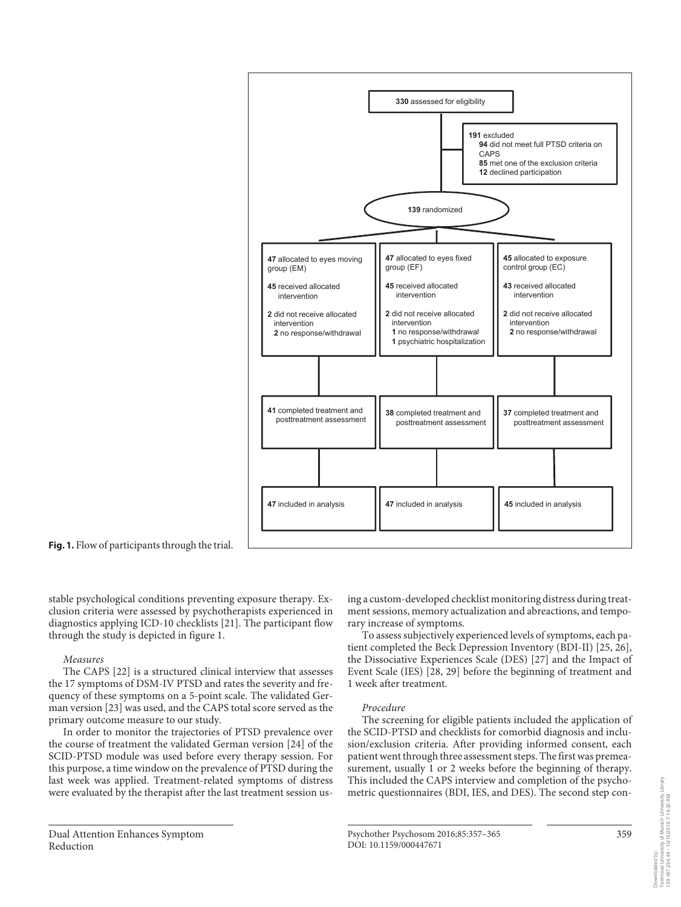

**Fig. 1.** Flow of participants through the trial.

stable psychological conditions preventing exposure therapy. Exclusion criteria were assessed by psychotherapists experienced in diagnostics applying ICD-10 checklists [21] . The participant flow through the study is depicted in figure 1.

#### Measures

 The CAPS [22] is a structured clinical interview that assesses the 17 symptoms of DSM-IV PTSD and rates the severity and frequency of these symptoms on a 5-point scale. The validated German version [23] was used, and the CAPS total score served as the primary outcome measure to our study.

 In order to monitor the trajectories of PTSD prevalence over the course of treatment the validated German version [24] of the SCID-PTSD module was used before every therapy session. For this purpose, a time window on the prevalence of PTSD during the last week was applied. Treatment-related symptoms of distress were evaluated by the therapist after the last treatment session using a custom-developed checklist monitoring distress during treatment sessions, memory actualization and abreactions, and temporary increase of symptoms.

 To assess subjectively experienced levels of symptoms, each patient completed the Beck Depression Inventory (BDI-II) [25, 26] , the Dissociative Experiences Scale (DES) [27] and the Impact of Event Scale (IES) [28, 29] before the beginning of treatment and 1 week after treatment.

#### Procedure

 The screening for eligible patients included the application of the SCID-PTSD and checklists for comorbid diagnosis and inclusion/exclusion criteria. After providing informed consent, each patient went through three assessment steps. The first was premeasurement, usually 1 or 2 weeks before the beginning of therapy. This included the CAPS interview and completion of the psychometric questionnaires (BDI, IES, and DES). The second step con-

129.187.254.46 - 10/15/2016 7:14:32 AM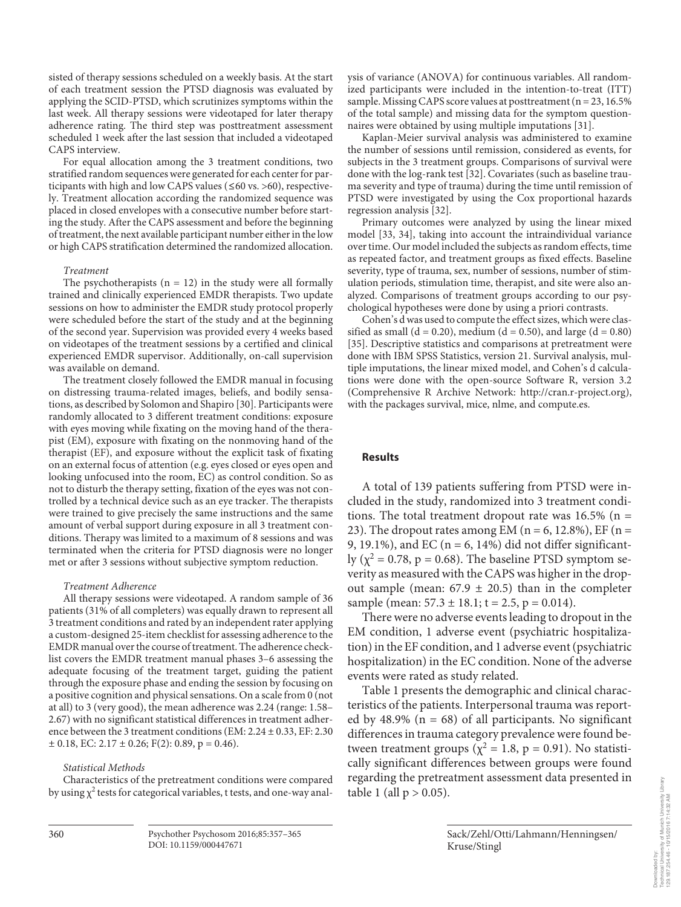sisted of therapy sessions scheduled on a weekly basis. At the start of each treatment session the PTSD diagnosis was evaluated by applying the SCID-PTSD, which scrutinizes symptoms within the last week. All therapy sessions were videotaped for later therapy adherence rating. The third step was posttreatment assessment scheduled 1 week after the last session that included a videotaped CAPS interview.

 For equal allocation among the 3 treatment conditions, two stratified random sequences were generated for each center for participants with high and low CAPS values ( $\leq 60$  vs. >60), respectively. Treatment allocation according the randomized sequence was placed in closed envelopes with a consecutive number before starting the study. After the CAPS assessment and before the beginning of treatment, the next available participant number either in the low or high CAPS stratification determined the randomized allocation.

#### Treatment

The psychotherapists  $(n = 12)$  in the study were all formally trained and clinically experienced EMDR therapists. Two update sessions on how to administer the EMDR study protocol properly were scheduled before the start of the study and at the beginning of the second year. Supervision was provided every 4 weeks based on videotapes of the treatment sessions by a certified and clinical experienced EMDR supervisor. Additionally, on-call supervision was available on demand.

 The treatment closely followed the EMDR manual in focusing on distressing trauma-related images, beliefs, and bodily sensations, as described by Solomon and Shapiro [30] . Participants were randomly allocated to 3 different treatment conditions: exposure with eyes moving while fixating on the moving hand of the therapist (EM), exposure with fixating on the nonmoving hand of the therapist (EF), and exposure without the explicit task of fixating on an external focus of attention (e.g. eyes closed or eyes open and looking unfocused into the room, EC) as control condition. So as not to disturb the therapy setting, fixation of the eyes was not controlled by a technical device such as an eye tracker. The therapists were trained to give precisely the same instructions and the same amount of verbal support during exposure in all 3 treatment conditions. Therapy was limited to a maximum of 8 sessions and was terminated when the criteria for PTSD diagnosis were no longer met or after 3 sessions without subjective symptom reduction.

#### Treatment Adherence

 All therapy sessions were videotaped. A random sample of 36 patients (31% of all completers) was equally drawn to represent all 3 treatment conditions and rated by an independent rater applying a custom-designed 25-item checklist for assessing adherence to the EMDR manual over the course of treatment. The adherence checklist covers the EMDR treatment manual phases 3–6 assessing the adequate focusing of the treatment target, guiding the patient through the exposure phase and ending the session by focusing on a positive cognition and physical sensations. On a scale from 0 (not at all) to 3 (very good), the mean adherence was 2.24 (range: 1.58– 2.67) with no significant statistical differences in treatment adherence between the 3 treatment conditions (EM: 2.24 ± 0.33, EF: 2.30  $\pm$  0.18, EC: 2.17  $\pm$  0.26; F(2): 0.89, p = 0.46).

#### Statistical Methods

 Characteristics of the pretreatment conditions were compared by using  $\chi^2$  tests for categorical variables, t tests, and one-way analysis of variance (ANOVA) for continuous variables. All randomized participants were included in the intention-to-treat (ITT) sample. Missing CAPS score values at posttreatment ( $n = 23, 16.5\%$ ) of the total sample) and missing data for the symptom questionnaires were obtained by using multiple imputations [31] .

 Kaplan-Meier survival analysis was administered to examine the number of sessions until remission, considered as events, for subjects in the 3 treatment groups. Comparisons of survival were done with the log-rank test [32] . Covariates (such as baseline trauma severity and type of trauma) during the time until remission of PTSD were investigated by using the Cox proportional hazards regression analysis [32] .

 Primary outcomes were analyzed by using the linear mixed model [33, 34], taking into account the intraindividual variance over time. Our model included the subjects as random effects, time as repeated factor, and treatment groups as fixed effects. Baseline severity, type of trauma, sex, number of sessions, number of stimulation periods, stimulation time, therapist, and site were also analyzed. Comparisons of treatment groups according to our psychological hypotheses were done by using a priori contrasts.

 Cohen's d was used to compute the effect sizes, which were classified as small ( $d = 0.20$ ), medium ( $d = 0.50$ ), and large ( $d = 0.80$ ) [35]. Descriptive statistics and comparisons at pretreatment were done with IBM SPSS Statistics, version 21. Survival analysis, multiple imputations, the linear mixed model, and Cohen's d calculations were done with the open-source Software R, version 3.2 (Comprehensive R Archive Network: http://cran.r-project.org), with the packages survival, mice, nlme, and compute.es.

## **Results**

 A total of 139 patients suffering from PTSD were included in the study, randomized into 3 treatment conditions. The total treatment dropout rate was  $16.5\%$  (n = 23). The dropout rates among EM ( $n = 6$ , 12.8%), EF ( $n =$ 9, 19.1%), and EC ( $n = 6$ , 14%) did not differ significantly ( $\chi^2$  = 0.78, p = 0.68). The baseline PTSD symptom severity as measured with the CAPS was higher in the dropout sample (mean:  $67.9 \pm 20.5$ ) than in the completer sample (mean:  $57.3 \pm 18.1$ ; t = 2.5, p = 0.014).

 There were no adverse events leading to dropout in the EM condition, 1 adverse event (psychiatric hospitalization) in the EF condition, and 1 adverse event (psychiatric hospitalization) in the EC condition. None of the adverse events were rated as study related.

 Table 1 presents the demographic and clinical characteristics of the patients. Interpersonal trauma was reported by 48.9% ( $n = 68$ ) of all participants. No significant differences in trauma category prevalence were found between treatment groups ( $\chi^2 = 1.8$ , p = 0.91). No statistically significant differences between groups were found regarding the pretreatment assessment data presented in table 1 (all  $p > 0.05$ ).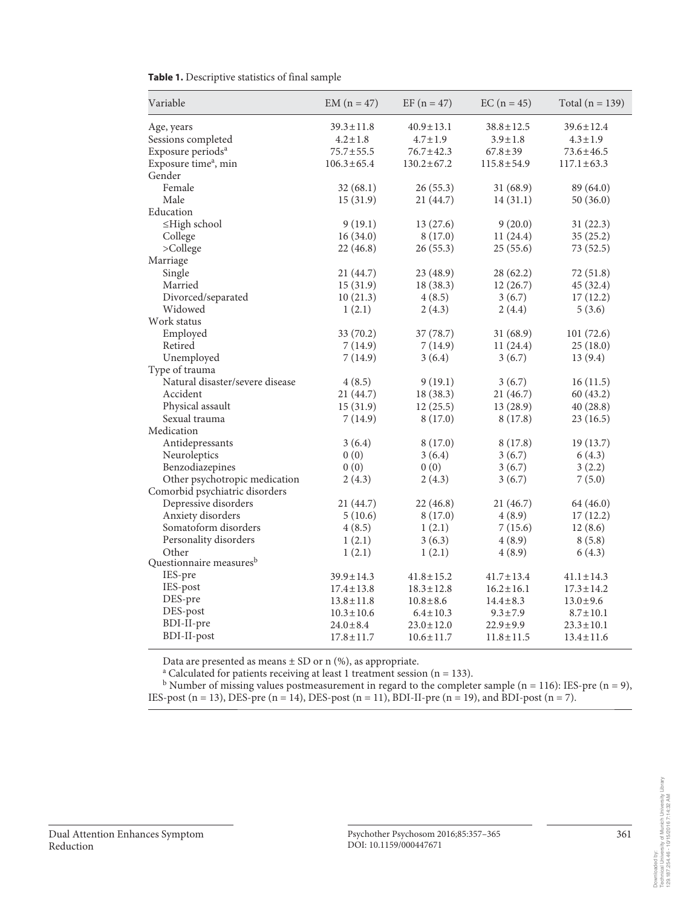| Variable                            | $EM (n = 47)$    | $EF(n = 47)$     | $EC (n = 45)$    | Total ( $n = 139$ ) |
|-------------------------------------|------------------|------------------|------------------|---------------------|
| Age, years                          | $39.3 \pm 11.8$  | $40.9 \pm 13.1$  | $38.8 \pm 12.5$  | $39.6 \pm 12.4$     |
| Sessions completed                  | $4.2 \pm 1.8$    | $4.7 \pm 1.9$    | $3.9 \pm 1.8$    | $4.3 \pm 1.9$       |
| Exposure periods <sup>a</sup>       | $75.7 \pm 55.5$  | $76.7 \pm 42.3$  | $67.8 \pm 39$    | $73.6 \pm 46.5$     |
| Exposure time <sup>a</sup> , min    | $106.3 \pm 65.4$ | $130.2 \pm 67.2$ | $115.8 \pm 54.9$ | $117.1 \pm 63.3$    |
| Gender                              |                  |                  |                  |                     |
| Female                              | 32(68.1)         | 26(55.3)         | 31 (68.9)        | 89 (64.0)           |
| Male                                | 15(31.9)         | 21 (44.7)        | 14(31.1)         | 50 (36.0)           |
| Education                           |                  |                  |                  |                     |
| $\leq$ High school                  | 9(19.1)          | 13(27.6)         | 9(20.0)          | 31(22.3)            |
| College                             | 16(34.0)         | 8(17.0)          | 11(24.4)         | 35(25.2)            |
| >College                            | 22 (46.8)        | 26(55.3)         | 25(55.6)         | 73 (52.5)           |
| Marriage                            |                  |                  |                  |                     |
| Single                              | 21 (44.7)        | 23 (48.9)        | 28 (62.2)        | 72 (51.8)           |
| Married                             | 15(31.9)         | 18 (38.3)        | 12(26.7)         | 45 (32.4)           |
| Divorced/separated                  | 10(21.3)         | 4(8.5)           | 3(6.7)           | 17(12.2)            |
| Widowed                             | 1(2.1)           | 2(4.3)           | 2(4.4)           | 5(3.6)              |
| Work status                         |                  |                  |                  |                     |
| Employed                            | 33 (70.2)        | 37 (78.7)        | 31 (68.9)        | 101(72.6)           |
| Retired                             | 7(14.9)          | 7 (14.9)         | 11 (24.4)        | 25(18.0)            |
| Unemployed                          | 7 (14.9)         | 3(6.4)           | 3(6.7)           | 13(9.4)             |
| Type of trauma                      |                  |                  |                  |                     |
| Natural disaster/severe disease     | 4(8.5)           | 9(19.1)          | 3(6.7)           | 16(11.5)            |
| Accident                            | 21 (44.7)        | 18 (38.3)        | 21(46.7)         | 60(43.2)            |
| Physical assault                    | 15(31.9)         | 12(25.5)         | 13 (28.9)        | 40(28.8)            |
| Sexual trauma                       | 7(14.9)          | 8(17.0)          | 8(17.8)          | 23(16.5)            |
| Medication                          |                  |                  |                  |                     |
| Antidepressants                     | 3(6.4)           | 8 (17.0)         | 8(17.8)          | 19 (13.7)           |
| Neuroleptics                        | 0(0)             | 3(6.4)           | 3(6.7)           | 6(4.3)              |
| Benzodiazepines                     | 0(0)             | 0(0)             | 3(6.7)           | 3(2.2)              |
| Other psychotropic medication       | 2(4.3)           | 2(4.3)           | 3(6.7)           | 7(5.0)              |
| Comorbid psychiatric disorders      |                  |                  |                  |                     |
| Depressive disorders                | 21 (44.7)        | 22 (46.8)        | 21 (46.7)        | 64 (46.0)           |
| Anxiety disorders                   | 5(10.6)          | 8 (17.0)         | 4(8.9)           | 17(12.2)            |
| Somatoform disorders                | 4(8.5)           | 1(2.1)           | 7(15.6)          | 12(8.6)             |
| Personality disorders               | 1(2.1)           | 3(6.3)           | 4(8.9)           | 8(5.8)              |
| Other                               | 1(2.1)           | 1(2.1)           | 4(8.9)           | 6(4.3)              |
| Questionnaire measures <sup>b</sup> |                  |                  |                  |                     |
| IES-pre                             | $39.9 \pm 14.3$  | $41.8 \pm 15.2$  | $41.7 \pm 13.4$  | $41.1 \pm 14.3$     |
| IES-post                            | $17.4 \pm 13.8$  | $18.3 \pm 12.8$  | $16.2 \pm 16.1$  | $17.3 \pm 14.2$     |
| DES-pre                             | $13.8 \pm 11.8$  | $10.8 \pm 8.6$   | $14.4 \pm 8.3$   | $13.0 \pm 9.6$      |
| DES-post                            | $10.3 \pm 10.6$  | $6.4 \pm 10.3$   | $9.3 \pm 7.9$    | $8.7 \pm 10.1$      |
| BDI-II-pre                          | $24.0 \pm 8.4$   | $23.0 \pm 12.0$  | $22.9 + 9.9$     | $23.3 \pm 10.1$     |
| BDI-II-post                         | $17.8 \pm 11.7$  | $10.6 \pm 11.7$  | $11.8 \pm 11.5$  | $13.4 \pm 11.6$     |

## **Table 1.** Descriptive statistics of final sample

Data are presented as means  $\pm$  SD or n (%), as appropriate.

<sup>a</sup> Calculated for patients receiving at least 1 treatment session ( $n = 133$ ).

<sup>b</sup> Number of missing values postmeasurement in regard to the completer sample (n = 116): IES-pre (n = 9), IES-post (n = 13), DES-pre (n = 14), DES-post (n = 11), BDI-II-pre (n = 19), and BDI-post (n = 7).

Reduction

361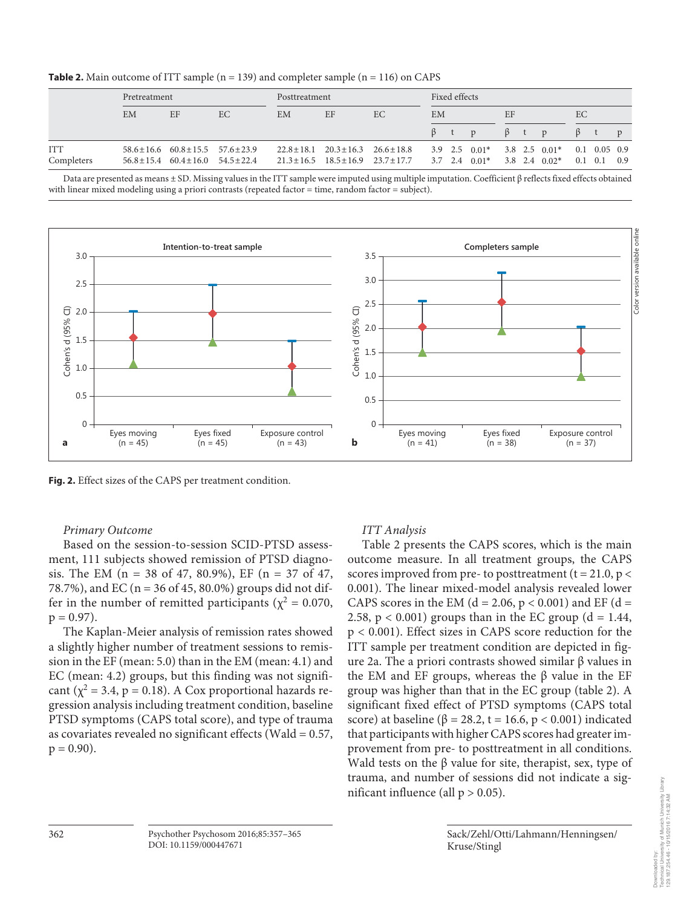|            | Pretreatment |                                                 | Posttreatment |    |                                                 | Fixed effects                                                        |             |                                                              |             |  |                   |  |                           |              |
|------------|--------------|-------------------------------------------------|---------------|----|-------------------------------------------------|----------------------------------------------------------------------|-------------|--------------------------------------------------------------|-------------|--|-------------------|--|---------------------------|--------------|
|            | <b>EM</b>    | EF                                              | EC.           | EM | EF                                              | EC                                                                   | EM          |                                                              | EF          |  | EC                |  |                           |              |
|            |              |                                                 |               |    |                                                 |                                                                      | $\beta$ t p |                                                              | $\beta$ t p |  |                   |  |                           | $\mathbf{p}$ |
| <b>ITT</b> |              | $58.6 \pm 16.6$ $60.8 \pm 15.5$ $57.6 \pm 23.9$ |               |    | $22.8 \pm 18.1$ $20.3 \pm 16.3$ $26.6 \pm 18.8$ |                                                                      |             | $3.9$ $2.5$ $0.01^*$ $3.8$ $2.5$ $0.01^*$ $0.1$ $0.05$ $0.9$ |             |  |                   |  |                           |              |
| Completers |              | $56.8 \pm 15.4$ $60.4 \pm 16.0$ $54.5 \pm 22.4$ |               |    |                                                 | $21.3 \pm 16.5$ $18.5 \pm 16.9$ $23.7 \pm 17.7$ $3.7$ $2.4$ $0.01^*$ |             |                                                              |             |  | $3.8$ 2.4 $0.02*$ |  | $0.1 \quad 0.1 \quad 0.9$ |              |

 Data are presented as means ± SD. Missing values in the ITT sample were imputed using multiple imputation. Coefficient β reflects fixed effects obtained with linear mixed modeling using a priori contrasts (repeated factor = time, random factor = subject).



**Fig. 2.** Effect sizes of the CAPS per treatment condition.

## Primary Outcome

 Based on the session-to-session SCID-PTSD assessment, 111 subjects showed remission of PTSD diagnosis. The EM (n = 38 of 47, 80.9%), EF (n = 37 of 47, 78.7%), and EC ( $n = 36$  of 45, 80.0%) groups did not differ in the number of remitted participants ( $\chi^2 = 0.070$ ,  $p = 0.97$ ).

 The Kaplan-Meier analysis of remission rates showed a slightly higher number of treatment sessions to remission in the EF (mean: 5.0) than in the EM (mean: 4.1) and EC (mean: 4.2) groups, but this finding was not significant ( $\chi^2$  = 3.4, p = 0.18). A Cox proportional hazards regression analysis including treatment condition, baseline PTSD symptoms (CAPS total score), and type of trauma as covariates revealed no significant effects (Wald = 0.57,  $p = 0.90$ ).

## ITT Analysis

 Table 2 presents the CAPS scores, which is the main outcome measure. In all treatment groups, the CAPS scores improved from pre- to posttreatment ( $t = 21.0$ ,  $p <$ 0.001). The linear mixed-model analysis revealed lower CAPS scores in the EM ( $d = 2.06$ ,  $p < 0.001$ ) and EF ( $d =$ 2.58,  $p < 0.001$ ) groups than in the EC group (d = 1.44, p < 0.001). Effect sizes in CAPS score reduction for the ITT sample per treatment condition are depicted in figure 2a. The a priori contrasts showed similar β values in the EM and EF groups, whereas the β value in the EF group was higher than that in the EC group (table 2). A significant fixed effect of PTSD symptoms (CAPS total score) at baseline (β = 28.2, t = 16.6, p < 0.001) indicated that participants with higher CAPS scores had greater improvement from pre- to posttreatment in all conditions. Wald tests on the  $\beta$  value for site, therapist, sex, type of trauma, and number of sessions did not indicate a significant influence (all  $p > 0.05$ ).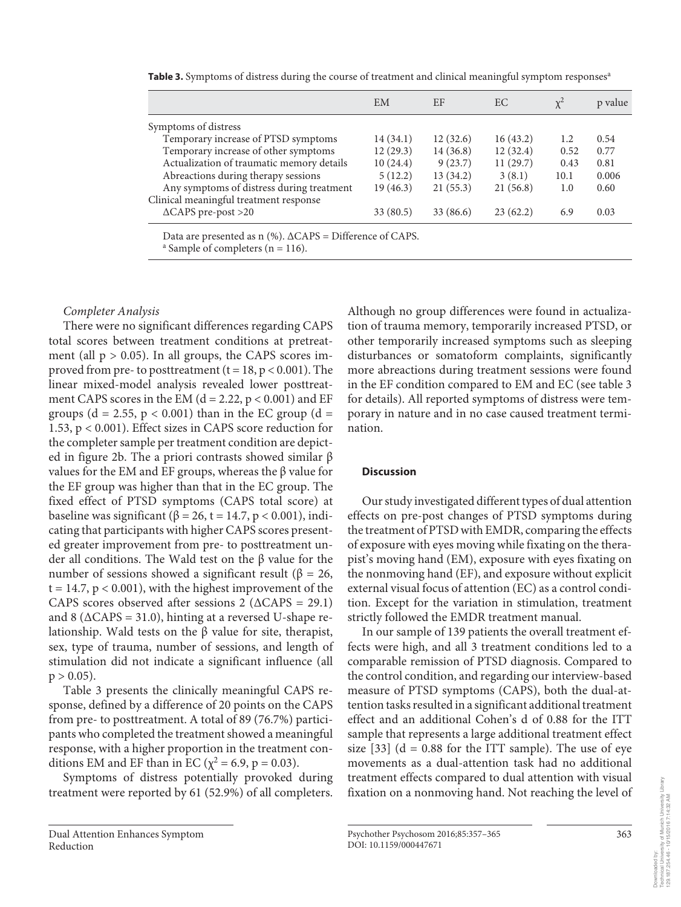|                                                                    | EM        | EF        | EC       |      | p value |
|--------------------------------------------------------------------|-----------|-----------|----------|------|---------|
| Symptoms of distress                                               |           |           |          |      |         |
| Temporary increase of PTSD symptoms                                | 14 (34.1) | 12(32.6)  | 16(43.2) | 1.2  | 0.54    |
| Temporary increase of other symptoms                               | 12(29.3)  | 14 (36.8) | 12(32.4) | 0.52 | 0.77    |
| Actualization of traumatic memory details                          | 10(24.4)  | 9(23.7)   | 11(29.7) | 0.43 | 0.81    |
| Abreactions during therapy sessions                                | 5(12.2)   | 13(34.2)  | 3(8.1)   | 10.1 | 0.006   |
| Any symptoms of distress during treatment                          | 19(46.3)  | 21(55.3)  | 21(56.8) | 1.0  | 0.60    |
| Clinical meaningful treatment response                             |           |           |          |      |         |
| $\triangle$ CAPS pre-post >20                                      | 33(80.5)  | 33 (86.6) | 23(62.2) | 6.9  | 0.03    |
| Data are presented as $n$ (%). $\Delta$ CAPS = Difference of CAPS. |           |           |          |      |         |

**Table 3.** Symptoms of distress during the course of treatment and clinical meaningful symptom responses<sup>a</sup>

Data are presented as n (%). ΔCAPS = Difference of CAPS. <sup>a</sup> Sample of completers (n = 116).

## Completer Analysis

 There were no significant differences regarding CAPS total scores between treatment conditions at pretreatment (all  $p > 0.05$ ). In all groups, the CAPS scores improved from pre- to posttreatment ( $t = 18$ ,  $p < 0.001$ ). The linear mixed-model analysis revealed lower posttreatment CAPS scores in the EM ( $d = 2.22$ ,  $p < 0.001$ ) and EF groups ( $d = 2.55$ ,  $p < 0.001$ ) than in the EC group ( $d =$ 1.53, p < 0.001). Effect sizes in CAPS score reduction for the completer sample per treatment condition are depicted in figure 2b. The a priori contrasts showed similar β values for the EM and EF groups, whereas the β value for the EF group was higher than that in the EC group. The fixed effect of PTSD symptoms (CAPS total score) at baseline was significant ( $\beta$  = 26, t = 14.7, p < 0.001), indicating that participants with higher CAPS scores presented greater improvement from pre- to posttreatment under all conditions. The Wald test on the β value for the number of sessions showed a significant result (β = 26,  $t = 14.7$ ,  $p < 0.001$ ), with the highest improvement of the CAPS scores observed after sessions 2 ( $\triangle$ CAPS = 29.1) and 8 ( $\Delta$ CAPS = 31.0), hinting at a reversed U-shape relationship. Wald tests on the β value for site, therapist, sex, type of trauma, number of sessions, and length of stimulation did not indicate a significant influence (all  $p > 0.05$ ).

 Table 3 presents the clinically meaningful CAPS response, defined by a difference of 20 points on the CAPS from pre- to posttreatment. A total of 89 (76.7%) participants who completed the treatment showed a meaningful response, with a higher proportion in the treatment conditions EM and EF than in EC ( $\chi^2$  = 6.9, p = 0.03).

 Symptoms of distress potentially provoked during treatment were reported by 61 (52.9%) of all completers. Although no group differences were found in actualization of trauma memory, temporarily increased PTSD, or other temporarily increased symptoms such as sleeping disturbances or somatoform complaints, significantly more abreactions during treatment sessions were found in the EF condition compared to EM and EC (see table 3 for details). All reported symptoms of distress were temporary in nature and in no case caused treatment termination.

## **Discussion**

 Our study investigated different types of dual attention effects on pre-post changes of PTSD symptoms during the treatment of PTSD with EMDR, comparing the effects of exposure with eyes moving while fixating on the therapist's moving hand (EM), exposure with eyes fixating on the nonmoving hand (EF), and exposure without explicit external visual focus of attention (EC) as a control condition. Except for the variation in stimulation, treatment strictly followed the EMDR treatment manual.

 In our sample of 139 patients the overall treatment effects were high, and all 3 treatment conditions led to a comparable remission of PTSD diagnosis. Compared to the control condition, and regarding our interview-based measure of PTSD symptoms (CAPS), both the dual-attention tasks resulted in a significant additional treatment effect and an additional Cohen's d of 0.88 for the ITT sample that represents a large additional treatment effect size  $[33]$  (d = 0.88 for the ITT sample). The use of eye movements as a dual-attention task had no additional treatment effects compared to dual attention with visual fixation on a nonmoving hand. Not reaching the level of

129.187.254.46 - 10/15/2016 7:14:32 AM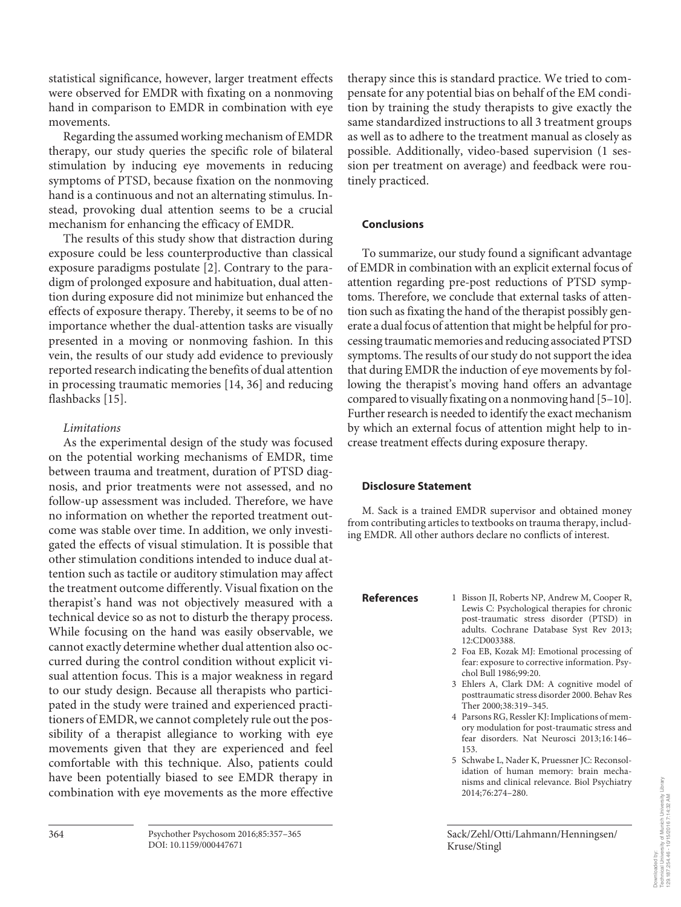statistical significance, however, larger treatment effects were observed for EMDR with fixating on a nonmoving hand in comparison to EMDR in combination with eye movements.

 Regarding the assumed working mechanism of EMDR therapy, our study queries the specific role of bilateral stimulation by inducing eye movements in reducing symptoms of PTSD, because fixation on the nonmoving hand is a continuous and not an alternating stimulus. Instead, provoking dual attention seems to be a crucial mechanism for enhancing the efficacy of EMDR.

 The results of this study show that distraction during exposure could be less counterproductive than classical exposure paradigms postulate [2] . Contrary to the paradigm of prolonged exposure and habituation, dual attention during exposure did not minimize but enhanced the effects of exposure therapy. Thereby, it seems to be of no importance whether the dual-attention tasks are visually presented in a moving or nonmoving fashion. In this vein, the results of our study add evidence to previously reported research indicating the benefits of dual attention in processing traumatic memories [14, 36] and reducing flashbacks [15].

## Limitations

As the experimental design of the study was focused on the potential working mechanisms of EMDR, time between trauma and treatment, duration of PTSD diagnosis, and prior treatments were not assessed, and no follow-up assessment was included. Therefore, we have no information on whether the reported treatment outcome was stable over time. In addition, we only investigated the effects of visual stimulation. It is possible that other stimulation conditions intended to induce dual attention such as tactile or auditory stimulation may affect the treatment outcome differently. Visual fixation on the therapist's hand was not objectively measured with a technical device so as not to disturb the therapy process. While focusing on the hand was easily observable, we cannot exactly determine whether dual attention also occurred during the control condition without explicit visual attention focus. This is a major weakness in regard to our study design. Because all therapists who participated in the study were trained and experienced practitioners of EMDR, we cannot completely rule out the possibility of a therapist allegiance to working with eye movements given that they are experienced and feel comfortable with this technique. Also, patients could have been potentially biased to see EMDR therapy in combination with eye movements as the more effective

therapy since this is standard practice. We tried to compensate for any potential bias on behalf of the EM condition by training the study therapists to give exactly the same standardized instructions to all 3 treatment groups as well as to adhere to the treatment manual as closely as possible. Additionally, video-based supervision (1 session per treatment on average) and feedback were routinely practiced.

## **Conclusions**

 To summarize, our study found a significant advantage of EMDR in combination with an explicit external focus of attention regarding pre-post reductions of PTSD symptoms. Therefore, we conclude that external tasks of attention such as fixating the hand of the therapist possibly generate a dual focus of attention that might be helpful for processing traumatic memories and reducing associated PTSD symptoms. The results of our study do not support the idea that during EMDR the induction of eye movements by following the therapist's moving hand offers an advantage compared to visually fixating on a nonmoving hand [5–10] . Further research is needed to identify the exact mechanism by which an external focus of attention might help to increase treatment effects during exposure therapy.

## **Disclosure Statement**

 M. Sack is a trained EMDR supervisor and obtained money from contributing articles to textbooks on trauma therapy, including EMDR. All other authors declare no conflicts of interest.

- **References** 1 Bisson JI, Roberts NP, Andrew M, Cooper R, Lewis C: Psychological therapies for chronic post-traumatic stress disorder (PTSD) in adults. Cochrane Database Syst Rev 2013; 12:CD003388.
	- 2 Foa EB, Kozak MJ: Emotional processing of fear: exposure to corrective information. Psychol Bull 1986;99:20.
	- 3 Ehlers A, Clark DM: A cognitive model of posttraumatic stress disorder 2000. Behav Res Ther 2000;38:319–345.
	- 4 Parsons RG, Ressler KJ: Implications of memory modulation for post-traumatic stress and fear disorders. Nat Neurosci 2013;16:146– 153.
	- 5 Schwabe L, Nader K, Pruessner JC: Reconsolidation of human memory: brain mechanisms and clinical relevance. Biol Psychiatry 2014;76:274–280.